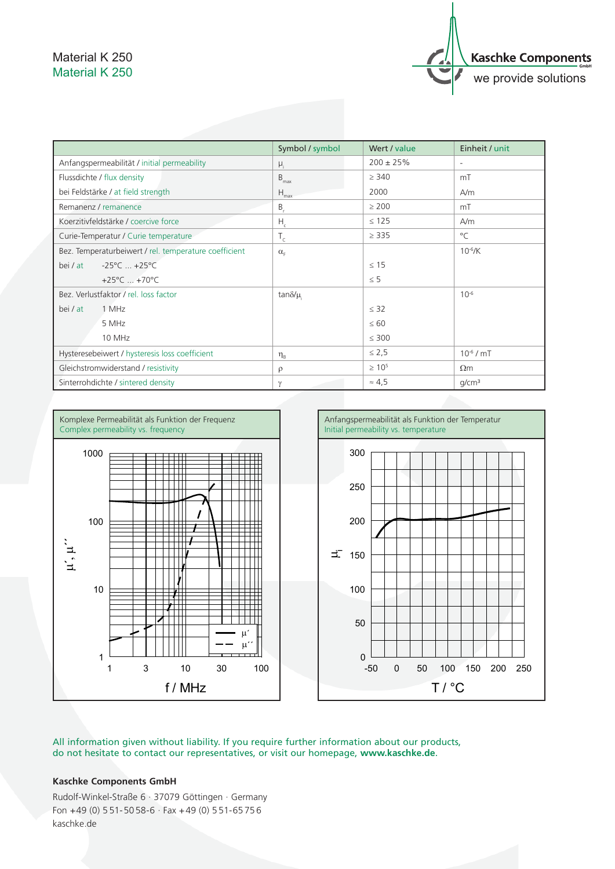## Material K 250 Material K 250



|                                                       | Symbol / symbol               | Wert / value   | Einheit / unit           |
|-------------------------------------------------------|-------------------------------|----------------|--------------------------|
| Anfangspermeabilität / initial permeability           | $\mu_i$                       | $200 \pm 25\%$ | $\overline{\phantom{a}}$ |
| Flussdichte / flux density                            | $B_{\text{max}}$              | > 340          | mT                       |
| bei Feldstärke / at field strength                    | $H_{\text{max}}$              | 2000           | A/m                      |
| Remanenz / remanence                                  | $B_{r}$                       | $\geq 200$     | mT                       |
| Koerzitivfeldstärke / coercive force                  | $H_c$                         | $\leq 125$     | A/m                      |
| Curie-Temperatur / Curie temperature                  | $T_c$                         | $\geq$ 335     | $^{\circ}$ C             |
| Bez. Temperaturbeiwert / rel. temperature coefficient | $\alpha_{\rm F}$              |                | $10^{-6}$ /K             |
| $-25^{\circ}$ C  +25 $^{\circ}$ C<br>bei / at         |                               | $\leq 15$      |                          |
| +25 $^{\circ}$ C  +70 $^{\circ}$ C                    |                               | $\leq$ 5       |                          |
| Bez. Verlustfaktor / rel. loss factor                 | tan $\delta/\mu$              |                | $10^{-6}$                |
| 1 MHz<br>bei / at                                     |                               | $\leq$ 32      |                          |
| 5 MHz                                                 |                               | $\leq 60$      |                          |
| 10 MHz                                                |                               | $\leq 300$     |                          |
| Hysteresebeiwert / hysteresis loss coefficient        | $\eta_{\scriptscriptstyle R}$ | $\leq 2.5$     | $10^{-6}$ / mT           |
| Gleichstromwiderstand / resistivity                   | $\rho$                        | $\geq 10^{5}$  | $\Omega$ m               |
| Sinterrohdichte / sintered density                    | $\gamma$                      | $\approx 4.5$  | q/cm <sup>3</sup>        |





All information given without liability. If you require further information about our products, do not hesitate to contact our representatives, or visit our homepage, **www.kaschke.de**.

## **Kaschke Components GmbH**

Rudolf-Winkel-Straße 6 · 37079 Göttingen · Germany Fon  $+49$  (0) 551-5058-6  $\cdot$  Fax  $+49$  (0) 551-65756 kaschke.de